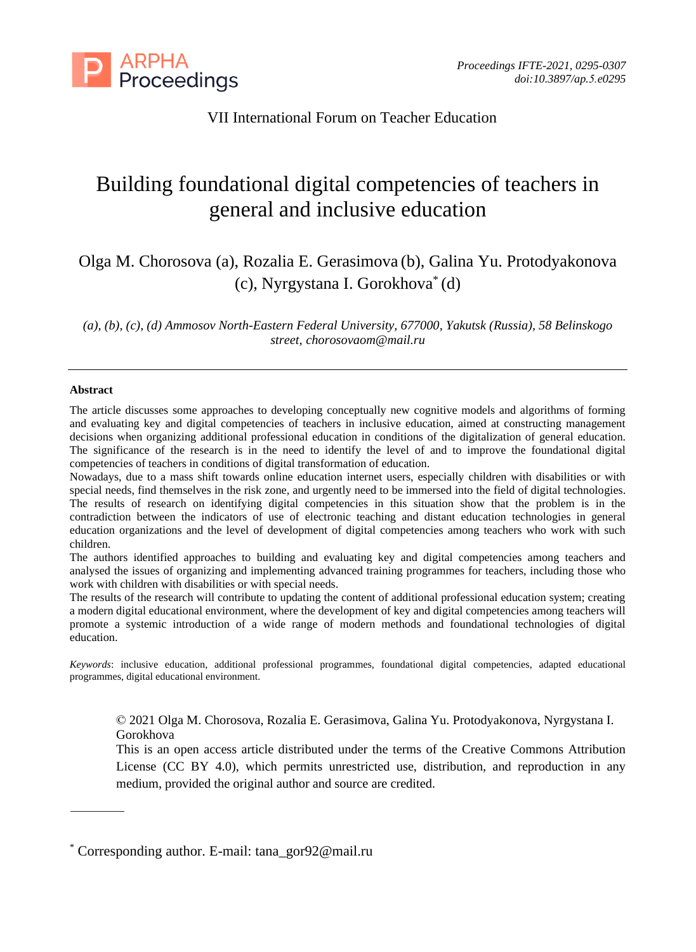

# VII International Forum on Teacher Education

# Building foundational digital competencies of teachers in general and inclusive education

Olga M. Chorosova (a), Rozalia E. Gerasimova (b), Galina Yu. Protodyakonova (c), Nyrgystana I. Gorokhova\* (d)

*(a), (b), (c), (d) Ammosov North-Eastern Federal University, 677000, Yakutsk (Russia), 58 Belinskogo street, chorosovaom@mail.ru*

#### **Abstract**

The article discusses some approaches to developing conceptually new cognitive models and algorithms of forming and evaluating key and digital competencies of teachers in inclusive education, aimed at constructing management decisions when organizing additional professional education in conditions of the digitalization of general education. The significance of the research is in the need to identify the level of and to improve the foundational digital competencies of teachers in conditions of digital transformation of education.

Nowadays, due to a mass shift towards online education internet users, especially children with disabilities or with special needs, find themselves in the risk zone, and urgently need to be immersed into the field of digital technologies. The results of research on identifying digital competencies in this situation show that the problem is in the contradiction between the indicators of use of electronic teaching and distant education technologies in general education organizations and the level of development of digital competencies among teachers who work with such children.

The authors identified approaches to building and evaluating key and digital competencies among teachers and analysed the issues of organizing and implementing advanced training programmes for teachers, including those who work with children with disabilities or with special needs.

The results of the research will contribute to updating the content of additional professional education system; creating a modern digital educational environment, where the development of key and digital competencies among teachers will promote a systemic introduction of a wide range of modern methods and foundational technologies of digital education.

*Keywords*: inclusive education, additional professional programmes, foundational digital competencies, adapted educational programmes, digital educational environment.

© 2021 Olga M. Chorosova, Rozalia E. Gerasimova, Galina Yu. Protodyakonova, Nyrgystana I. Gorokhova

This is an open access article distributed under the terms of the Creative Commons Attribution License (CC BY 4.0), which permits unrestricted use, distribution, and reproduction in any medium, provided the original author and source are credited.

Corresponding author. E-mail: tana\_gor92@mail.ru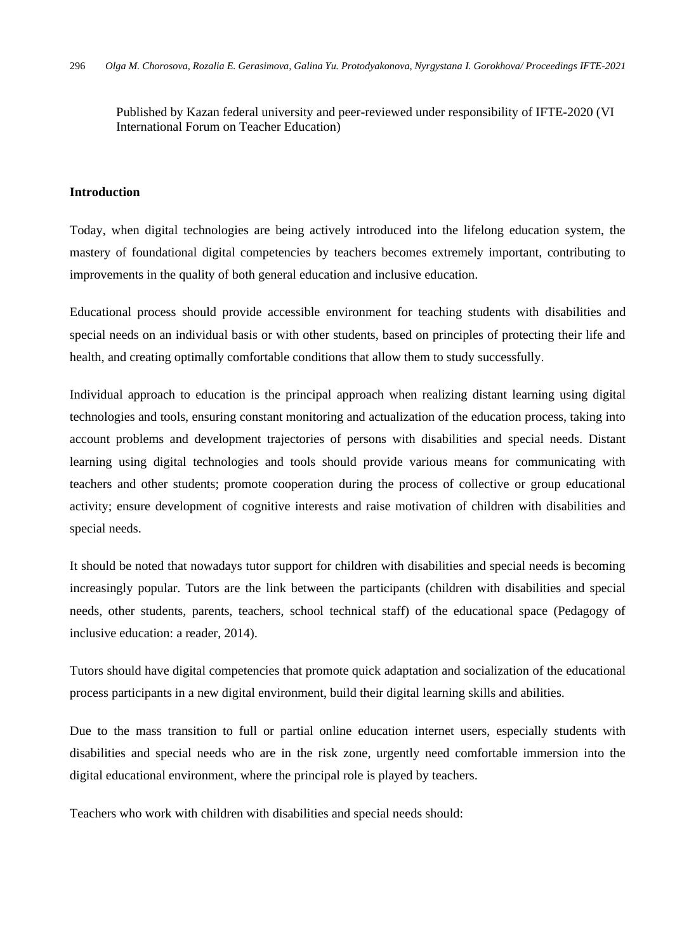Published by Kazan federal university and peer-reviewed under responsibility of IFTE-2020 (VI International Forum on Teacher Education)

## **Introduction**

Today, when digital technologies are being actively introduced into the lifelong education system, the mastery of foundational digital competencies by teachers becomes extremely important, contributing to improvements in the quality of both general education and inclusive education.

Educational process should provide accessible environment for teaching students with disabilities and special needs on an individual basis or with other students, based on principles of protecting their life and health, and creating optimally comfortable conditions that allow them to study successfully.

Individual approach to education is the principal approach when realizing distant learning using digital technologies and tools, ensuring constant monitoring and actualization of the education process, taking into account problems and development trajectories of persons with disabilities and special needs. Distant learning using digital technologies and tools should provide various means for communicating with teachers and other students; promote cooperation during the process of collective or group educational activity; ensure development of cognitive interests and raise motivation of children with disabilities and special needs.

It should be noted that nowadays tutor support for children with disabilities and special needs is becoming increasingly popular. Tutors are the link between the participants (children with disabilities and special needs, other students, parents, teachers, school technical staff) of the educational space (Pedagogy of inclusive education: a reader, 2014).

Tutors should have digital competencies that promote quick adaptation and socialization of the educational process participants in a new digital environment, build their digital learning skills and abilities.

Due to the mass transition to full or partial online education internet users, especially students with disabilities and special needs who are in the risk zone, urgently need comfortable immersion into the digital educational environment, where the principal role is played by teachers.

Teachers who work with children with disabilities and special needs should: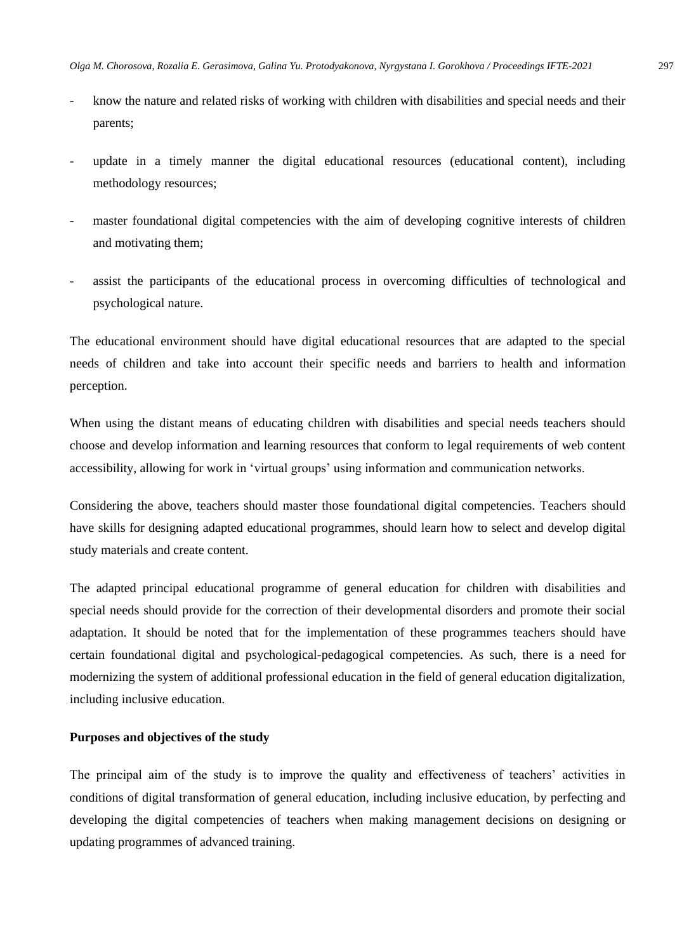- know the nature and related risks of working with children with disabilities and special needs and their parents;
- update in a timely manner the digital educational resources (educational content), including methodology resources;
- master foundational digital competencies with the aim of developing cognitive interests of children and motivating them;
- assist the participants of the educational process in overcoming difficulties of technological and psychological nature.

The educational environment should have digital educational resources that are adapted to the special needs of children and take into account their specific needs and barriers to health and information perception.

When using the distant means of educating children with disabilities and special needs teachers should choose and develop information and learning resources that conform to legal requirements of web content accessibility, allowing for work in 'virtual groups' using information and communication networks.

Considering the above, teachers should master those foundational digital competencies. Teachers should have skills for designing adapted educational programmes, should learn how to select and develop digital study materials and create content.

The adapted principal educational programme of general education for children with disabilities and special needs should provide for the correction of their developmental disorders and promote their social adaptation. It should be noted that for the implementation of these programmes teachers should have certain foundational digital and psychological-pedagogical competencies. As such, there is a need for modernizing the system of additional professional education in the field of general education digitalization, including inclusive education.

#### **Purposes and objectives of the study**

The principal aim of the study is to improve the quality and effectiveness of teachers' activities in conditions of digital transformation of general education, including inclusive education, by perfecting and developing the digital competencies of teachers when making management decisions on designing or updating programmes of advanced training.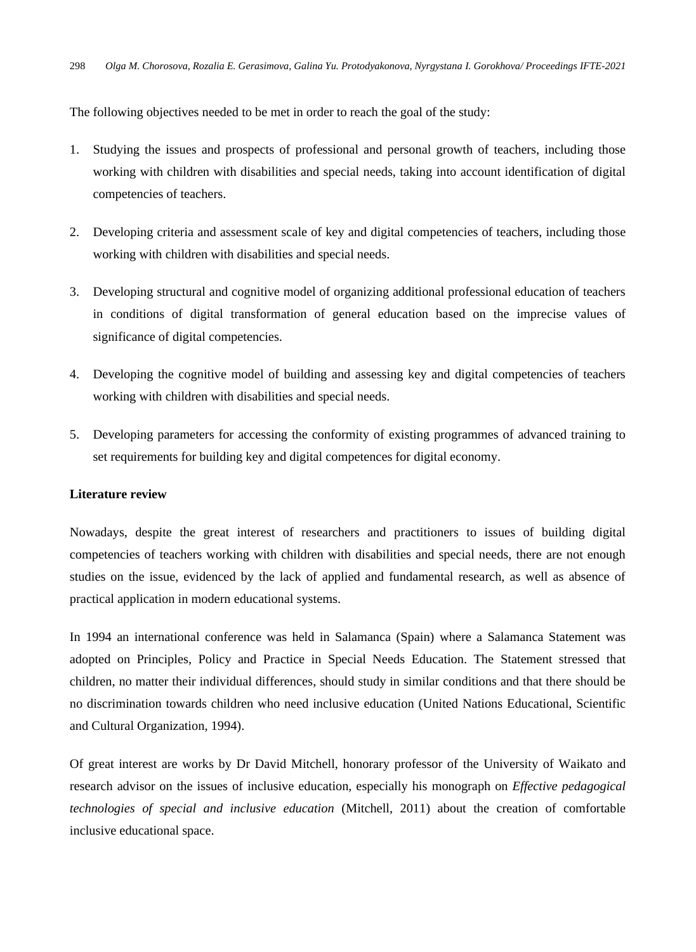The following objectives needed to be met in order to reach the goal of the study:

- 1. Studying the issues and prospects of professional and personal growth of teachers, including those working with children with disabilities and special needs, taking into account identification of digital competencies of teachers.
- 2. Developing criteria and assessment scale of key and digital competencies of teachers, including those working with children with disabilities and special needs.
- 3. Developing structural and cognitive model of organizing additional professional education of teachers in conditions of digital transformation of general education based on the imprecise values of significance of digital competencies.
- 4. Developing the cognitive model of building and assessing key and digital competencies of teachers working with children with disabilities and special needs.
- 5. Developing parameters for accessing the conformity of existing programmes of advanced training to set requirements for building key and digital competences for digital economy.

#### **Literature review**

Nowadays, despite the great interest of researchers and practitioners to issues of building digital competencies of teachers working with children with disabilities and special needs, there are not enough studies on the issue, evidenced by the lack of applied and fundamental research, as well as absence of practical application in modern educational systems.

In 1994 an international conference was held in Salamanca (Spain) where a Salamanca Statement was adopted on Principles, Policy and Practice in Special Needs Education. The Statement stressed that children, no matter their individual differences, should study in similar conditions and that there should be no discrimination towards children who need inclusive education (United Nations Educational, Scientific and Cultural Organization, 1994).

Of great interest are works by Dr David Mitchell, honorary professor of the University of Waikato and research advisor on the issues of inclusive education, especially his monograph on *Effective pedagogical technologies of special and inclusive education* (Mitchell, 2011) about the creation of comfortable inclusive educational space.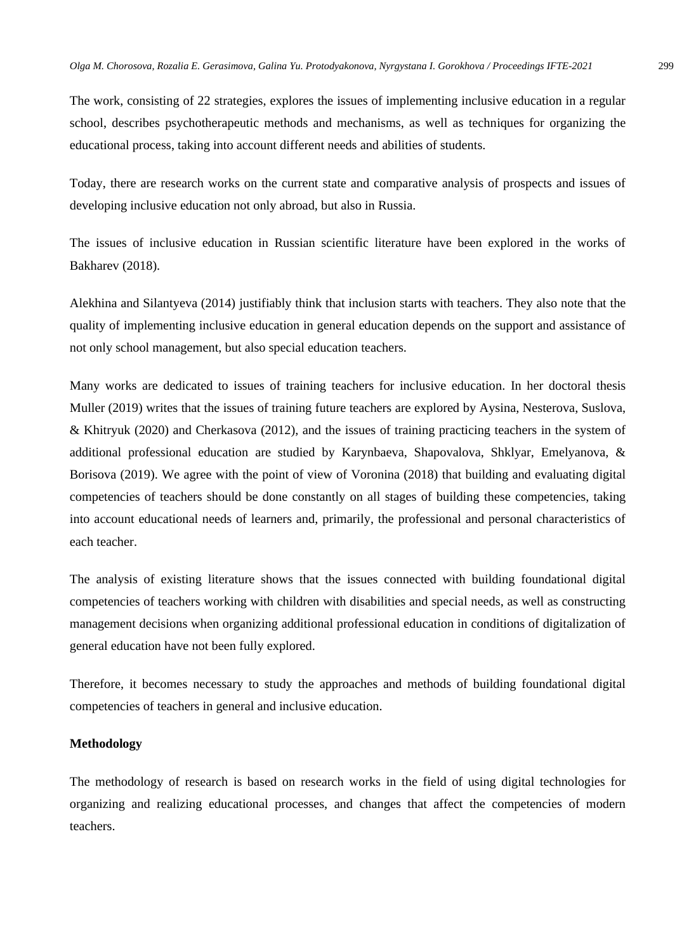The work, consisting of 22 strategies, explores the issues of implementing inclusive education in a regular school, describes psychotherapeutic methods and mechanisms, as well as techniques for organizing the educational process, taking into account different needs and abilities of students.

Today, there are research works on the current state and comparative analysis of prospects and issues of developing inclusive education not only abroad, but also in Russia.

The issues of inclusive education in Russian scientific literature have been explored in the works of Bakharev (2018).

Alekhina and Silantyeva (2014) justifiably think that inclusion starts with teachers. They also note that the quality of implementing inclusive education in general education depends on the support and assistance of not only school management, but also special education teachers.

Many works are dedicated to issues of training teachers for inclusive education. In her doctoral thesis Muller (2019) writes that the issues of training future teachers are explored by Aysina, Nesterova, Suslova, & Khitryuk (2020) and Cherkasova (2012), and the issues of training practicing teachers in the system of additional professional education are studied by Karynbaeva, Shapovalova, Shklyar, Emelyanova, & Borisova (2019). We agree with the point of view of Voronina (2018) that building and evaluating digital competencies of teachers should be done constantly on all stages of building these competencies, taking into account educational needs of learners and, primarily, the professional and personal characteristics of each teacher.

The analysis of existing literature shows that the issues connected with building foundational digital competencies of teachers working with children with disabilities and special needs, as well as constructing management decisions when organizing additional professional education in conditions of digitalization of general education have not been fully explored.

Therefore, it becomes necessary to study the approaches and methods of building foundational digital competencies of teachers in general and inclusive education.

#### **Methodology**

The methodology of research is based on research works in the field of using digital technologies for organizing and realizing educational processes, and changes that affect the competencies of modern teachers.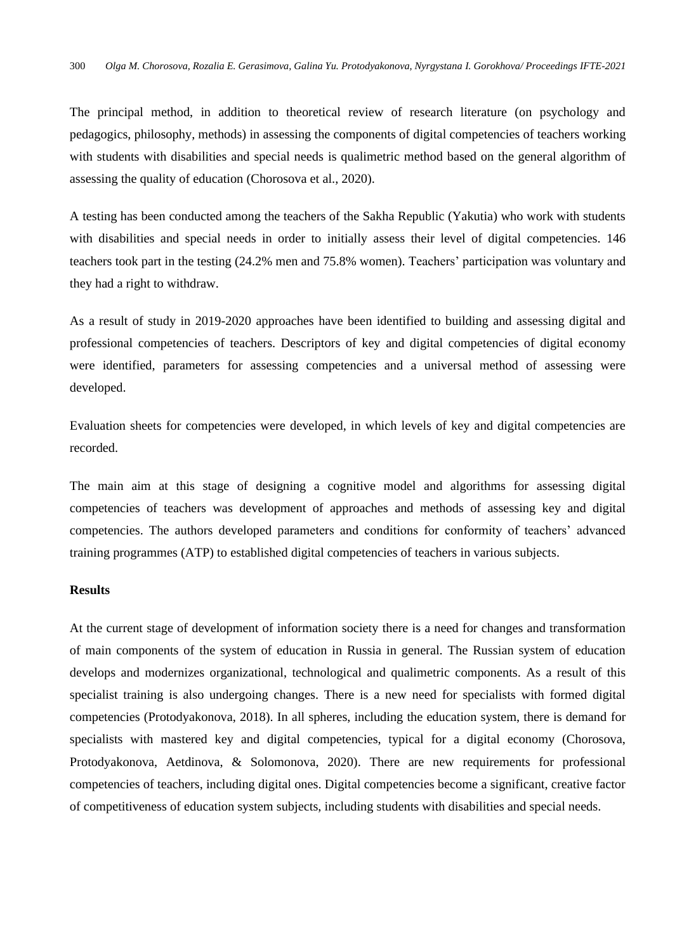The principal method, in addition to theoretical review of research literature (on psychology and pedagogics, philosophy, methods) in assessing the components of digital competencies of teachers working with students with disabilities and special needs is qualimetric method based on the general algorithm of assessing the quality of education (Chorosova et al., 2020).

A testing has been conducted among the teachers of the Sakha Republic (Yakutia) who work with students with disabilities and special needs in order to initially assess their level of digital competencies. 146 teachers took part in the testing (24.2% men and 75.8% women). Teachers' participation was voluntary and they had a right to withdraw.

As a result of study in 2019-2020 approaches have been identified to building and assessing digital and professional competencies of teachers. Descriptors of key and digital competencies of digital economy were identified, parameters for assessing competencies and a universal method of assessing were developed.

Evaluation sheets for competencies were developed, in which levels of key and digital competencies are recorded.

The main aim at this stage of designing a cognitive model and algorithms for assessing digital competencies of teachers was development of approaches and methods of assessing key and digital competencies. The authors developed parameters and conditions for conformity of teachers' advanced training programmes (ATP) to established digital competencies of teachers in various subjects.

#### **Results**

At the current stage of development of information society there is a need for changes and transformation of main components of the system of education in Russia in general. The Russian system of education develops and modernizes organizational, technological and qualimetric components. As a result of this specialist training is also undergoing changes. There is a new need for specialists with formed digital competencies (Protodyakonova, 2018). In all spheres, including the education system, there is demand for specialists with mastered key and digital competencies, typical for a digital economy (Chorosova, Protodyakonova, Aetdinova, & Solomonova, 2020). There are new requirements for professional competencies of teachers, including digital ones. Digital competencies become a significant, creative factor of competitiveness of education system subjects, including students with disabilities and special needs.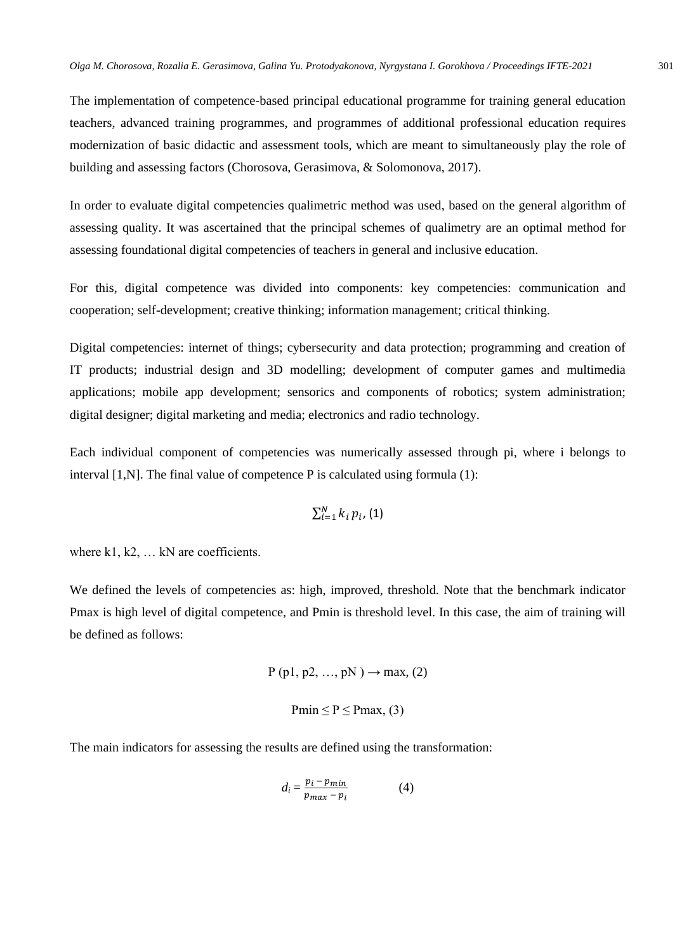The implementation of competence-based principal educational programme for training general education teachers, advanced training programmes, and programmes of additional professional education requires modernization of basic didactic and assessment tools, which are meant to simultaneously play the role of building and assessing factors (Chorosova, Gerasimova, & Solomonova, 2017).

In order to evaluate digital competencies qualimetric method was used, based on the general algorithm of assessing quality. It was ascertained that the principal schemes of qualimetry are an optimal method for assessing foundational digital competencies of teachers in general and inclusive education.

For this, digital competence was divided into components: key competencies: communication and cooperation; self-development; creative thinking; information management; critical thinking.

Digital competencies: internet of things; cybersecurity and data protection; programming and creation of IT products; industrial design and 3D modelling; development of computer games and multimedia applications; mobile app development; sensorics and components of robotics; system administration; digital designer; digital marketing and media; electronics and radio technology.

Each individual component of competencies was numerically assessed through pi, where i belongs to interval [1,N]. The final value of competence P is calculated using formula (1):

$$
\sum_{i=1}^N k_i\,p_i,(1)
$$

where k1, k2, ... kN are coefficients.

We defined the levels of competencies as: high, improved, threshold. Note that the benchmark indicator Pmax is high level of digital competence, and Pmin is threshold level. In this case, the aim of training will be defined as follows:

$$
P(p1, p2, ..., pN) \rightarrow max, (2)
$$

$$
Pmin \le P \le Pmax, (3)
$$

The main indicators for assessing the results are defined using the transformation:

$$
d_i = \frac{p_i - p_{min}}{p_{max} - p_i} \tag{4}
$$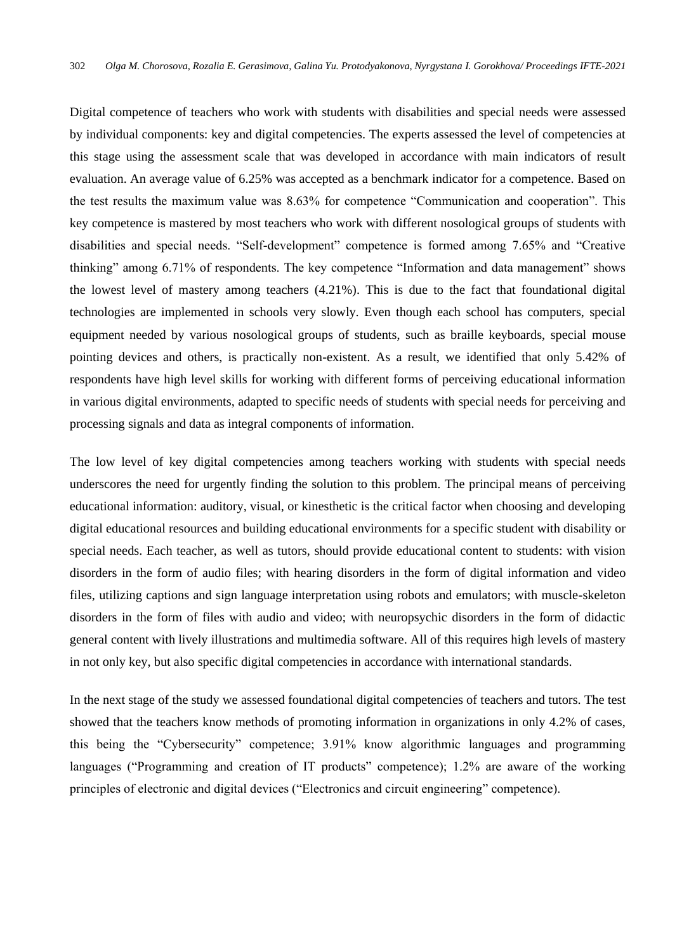Digital competence of teachers who work with students with disabilities and special needs were assessed by individual components: key and digital competencies. The experts assessed the level of competencies at this stage using the assessment scale that was developed in accordance with main indicators of result evaluation. An average value of 6.25% was accepted as a benchmark indicator for a competence. Based on the test results the maximum value was 8.63% for competence "Communication and cooperation". This key competence is mastered by most teachers who work with different nosological groups of students with disabilities and special needs. "Self-development" competence is formed among 7.65% and "Creative thinking" among 6.71% of respondents. The key competence "Information and data management" shows the lowest level of mastery among teachers (4.21%). This is due to the fact that foundational digital technologies are implemented in schools very slowly. Even though each school has computers, special equipment needed by various nosological groups of students, such as braille keyboards, special mouse pointing devices and others, is practically non-existent. As a result, we identified that only 5.42% of respondents have high level skills for working with different forms of perceiving educational information in various digital environments, adapted to specific needs of students with special needs for perceiving and processing signals and data as integral components of information.

The low level of key digital competencies among teachers working with students with special needs underscores the need for urgently finding the solution to this problem. The principal means of perceiving educational information: auditory, visual, or kinesthetic is the critical factor when choosing and developing digital educational resources and building educational environments for a specific student with disability or special needs. Each teacher, as well as tutors, should provide educational content to students: with vision disorders in the form of audio files; with hearing disorders in the form of digital information and video files, utilizing captions and sign language interpretation using robots and emulators; with muscle-skeleton disorders in the form of files with audio and video; with neuropsychic disorders in the form of didactic general content with lively illustrations and multimedia software. All of this requires high levels of mastery in not only key, but also specific digital competencies in accordance with international standards.

In the next stage of the study we assessed foundational digital competencies of teachers and tutors. The test showed that the teachers know methods of promoting information in organizations in only 4.2% of cases, this being the "Cybersecurity" competence; 3.91% know algorithmic languages and programming languages ("Programming and creation of IT products" competence); 1.2% are aware of the working principles of electronic and digital devices ("Electronics and circuit engineering" competence).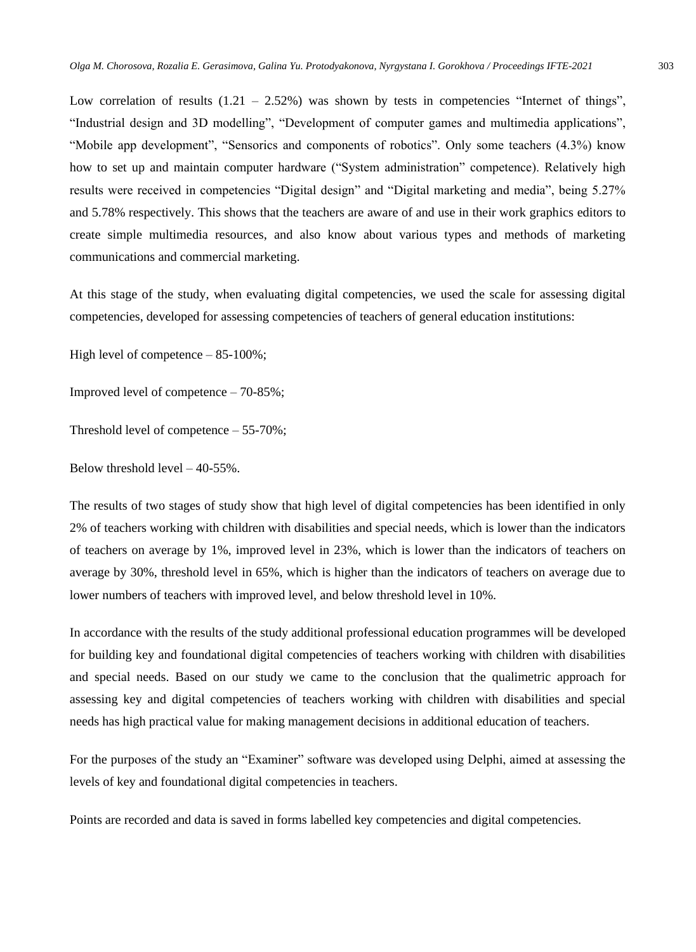Low correlation of results  $(1.21 - 2.52%)$  was shown by tests in competencies "Internet of things", "Industrial design and 3D modelling", "Development of computer games and multimedia applications", "Mobile app development", "Sensorics and components of robotics". Only some teachers (4.3%) know how to set up and maintain computer hardware ("System administration" competence). Relatively high results were received in competencies "Digital design" and "Digital marketing and media", being 5.27% and 5.78% respectively. This shows that the teachers are aware of and use in their work graphics editors to create simple multimedia resources, and also know about various types and methods of marketing communications and commercial marketing.

At this stage of the study, when evaluating digital competencies, we used the scale for assessing digital competencies, developed for assessing competencies of teachers of general education institutions:

High level of competence – 85-100%;

Improved level of competence – 70-85%;

Threshold level of competence – 55-70%;

Below threshold level – 40-55%.

The results of two stages of study show that high level of digital competencies has been identified in only 2% of teachers working with children with disabilities and special needs, which is lower than the indicators of teachers on average by 1%, improved level in 23%, which is lower than the indicators of teachers on average by 30%, threshold level in 65%, which is higher than the indicators of teachers on average due to lower numbers of teachers with improved level, and below threshold level in 10%.

In accordance with the results of the study additional professional education programmes will be developed for building key and foundational digital competencies of teachers working with children with disabilities and special needs. Based on our study we came to the conclusion that the qualimetric approach for assessing key and digital competencies of teachers working with children with disabilities and special needs has high practical value for making management decisions in additional education of teachers.

For the purposes of the study an "Examiner" software was developed using Delphi, aimed at assessing the levels of key and foundational digital competencies in teachers.

Points are recorded and data is saved in forms labelled key competencies and digital competencies.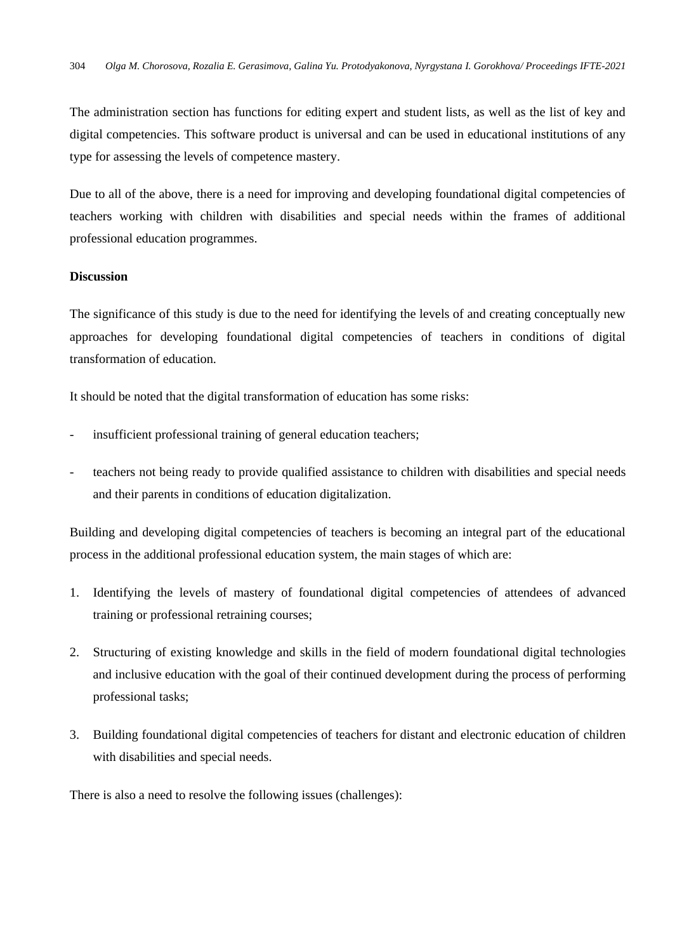The administration section has functions for editing expert and student lists, as well as the list of key and digital competencies. This software product is universal and can be used in educational institutions of any type for assessing the levels of competence mastery.

Due to all of the above, there is a need for improving and developing foundational digital competencies of teachers working with children with disabilities and special needs within the frames of additional professional education programmes.

#### **Discussion**

The significance of this study is due to the need for identifying the levels of and creating conceptually new approaches for developing foundational digital competencies of teachers in conditions of digital transformation of education.

It should be noted that the digital transformation of education has some risks:

- insufficient professional training of general education teachers;
- teachers not being ready to provide qualified assistance to children with disabilities and special needs and their parents in conditions of education digitalization.

Building and developing digital competencies of teachers is becoming an integral part of the educational process in the additional professional education system, the main stages of which are:

- 1. Identifying the levels of mastery of foundational digital competencies of attendees of advanced training or professional retraining courses;
- 2. Structuring of existing knowledge and skills in the field of modern foundational digital technologies and inclusive education with the goal of their continued development during the process of performing professional tasks;
- 3. Building foundational digital competencies of teachers for distant and electronic education of children with disabilities and special needs.

There is also a need to resolve the following issues (challenges):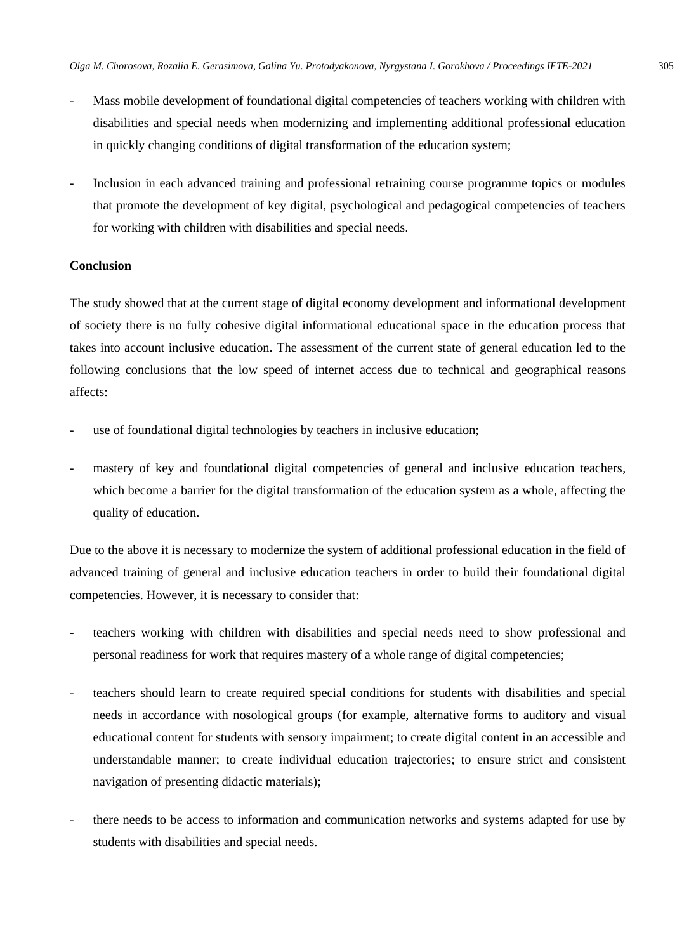- Mass mobile development of foundational digital competencies of teachers working with children with disabilities and special needs when modernizing and implementing additional professional education in quickly changing conditions of digital transformation of the education system;
- Inclusion in each advanced training and professional retraining course programme topics or modules that promote the development of key digital, psychological and pedagogical competencies of teachers for working with children with disabilities and special needs.

### **Conclusion**

The study showed that at the current stage of digital economy development and informational development of society there is no fully cohesive digital informational educational space in the education process that takes into account inclusive education. The assessment of the current state of general education led to the following conclusions that the low speed of internet access due to technical and geographical reasons affects:

- use of foundational digital technologies by teachers in inclusive education;
- mastery of key and foundational digital competencies of general and inclusive education teachers, which become a barrier for the digital transformation of the education system as a whole, affecting the quality of education.

Due to the above it is necessary to modernize the system of additional professional education in the field of advanced training of general and inclusive education teachers in order to build their foundational digital competencies. However, it is necessary to consider that:

- teachers working with children with disabilities and special needs need to show professional and personal readiness for work that requires mastery of a whole range of digital competencies;
- teachers should learn to create required special conditions for students with disabilities and special needs in accordance with nosological groups (for example, alternative forms to auditory and visual educational content for students with sensory impairment; to create digital content in an accessible and understandable manner; to create individual education trajectories; to ensure strict and consistent navigation of presenting didactic materials);
- there needs to be access to information and communication networks and systems adapted for use by students with disabilities and special needs.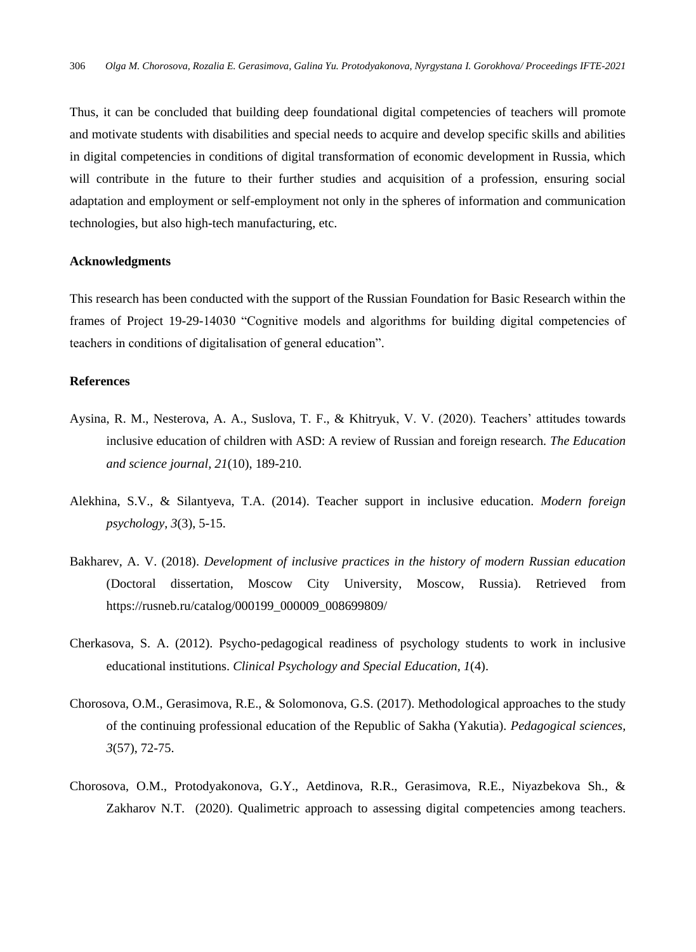Thus, it can be concluded that building deep foundational digital competencies of teachers will promote and motivate students with disabilities and special needs to acquire and develop specific skills and abilities in digital competencies in conditions of digital transformation of economic development in Russia, which will contribute in the future to their further studies and acquisition of a profession, ensuring social adaptation and employment or self-employment not only in the spheres of information and communication technologies, but also high-tech manufacturing, etc.

#### **Acknowledgments**

This research has been conducted with the support of the Russian Foundation for Basic Research within the frames of Project 19-29-14030 "Cognitive models and algorithms for building digital competencies of teachers in conditions of digitalisation of general education".

#### **References**

- Aysina, R. M., Nesterova, A. A., Suslova, T. F., & Khitryuk, V. V. (2020). Teachers' attitudes towards inclusive education of children with ASD: A review of Russian and foreign research. *The Education and science journal, 21*(10), 189-210.
- Alekhina, S.V., & Silantyeva, T.A. (2014). Teacher support in inclusive education. *Modern foreign psychology*, *3*(3), 5-15.
- Bakharev, A. V. (2018). *Development of inclusive practices in the history of modern Russian education* (Doctoral dissertation, Moscow City University, Moscow, Russia). Retrieved from https://rusneb.ru/catalog/000199\_000009\_008699809/
- Cherkasova, S. A. (2012). Psycho-pedagogical readiness of psychology students to work in inclusive educational institutions. *Clinical Psychology and Special Education, 1*(4).
- Chorosova, O.M., Gerasimova, R.E., & Solomonova, G.S. (2017). Methodological approaches to the study of the continuing professional education of the Republic of Sakha (Yakutia). *Pedagogical sciences, 3*(57), 72-75.
- Chorosova, O.M., Protodyakonova, G.Y., Aetdinova, R.R., Gerasimova, R.E., Niyazbekova Sh., & Zakharov N.T. (2020). Qualimetric approach to assessing digital competencies among teachers.